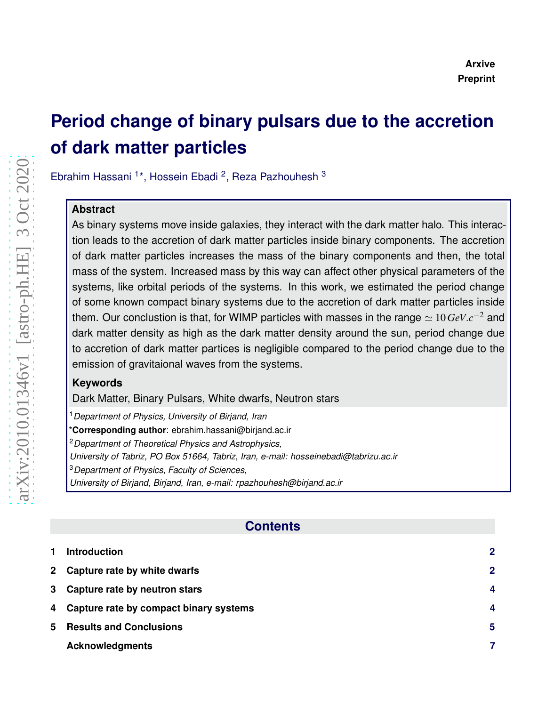# **Period change of binary pulsars due to the accretion of dark matter particles**

Ebrahim Hassani <sup>1\*</sup>, Hossein Ebadi <sup>2</sup>, Reza Pazhouhesh <sup>3</sup>

### **Abstract**

As binary systems move inside galaxies, they interact with the dark matter halo. This interaction leads to the accretion of dark matter particles inside binary components. The accretion of dark matter particles increases the mass of the binary components and then, the total mass of the system. Increased mass by this way can affect other physical parameters of the systems, like orbital periods of the systems. In this work, we estimated the period change of some known compact binary systems due to the accretion of dark matter particles inside them. Our conclustion is that, for WIMP particles with masses in the range  $\simeq 10\,GeV.c^{-2}$  and dark matter density as high as the dark matter density around the sun, period change due to accretion of dark matter partices is negligible compared to the period change due to the emission of gravitaional waves from the systems.

### **Keywords**

Dark Matter, Binary Pulsars, White dwarfs, Neutron stars

<sup>1</sup>*Department of Physics, University of Birjand, Iran* \***Corresponding author**: ebrahim.hassani@birjand.ac.ir <sup>2</sup>*Department of Theoretical Physics and Astrophysics, University of Tabriz, PO Box 51664, Tabriz, Iran, e-mail: hosseinebadi@tabrizu.ac.ir* <sup>3</sup>*Department of Physics, Faculty of Sciences, University of Birjand, Birjand, Iran, e-mail: rpazhouhesh@birjand.ac.ir*

## **Contents**

|   | <b>Introduction</b>                      | $\overline{2}$   |
|---|------------------------------------------|------------------|
|   | 2 Capture rate by white dwarfs           | $\mathbf 2$      |
|   | 3 Capture rate by neutron stars          | $\boldsymbol{A}$ |
|   | 4 Capture rate by compact binary systems | 4                |
| 5 | <b>Results and Conclusions</b>           | 5                |
|   | <b>Acknowledgments</b>                   |                  |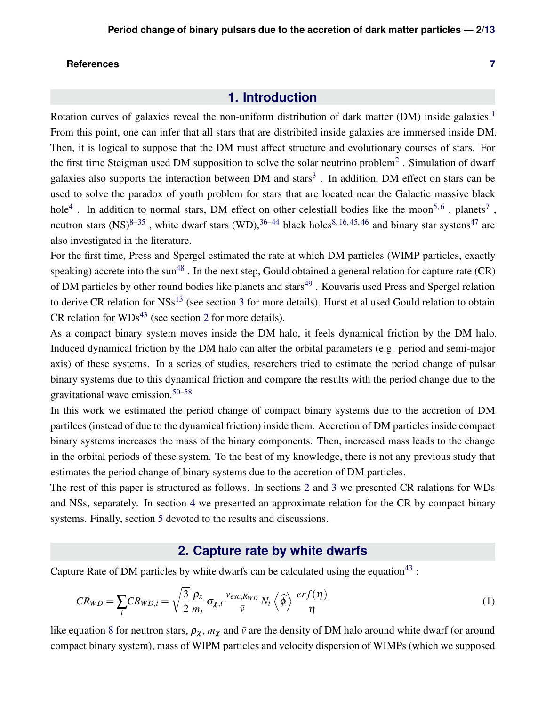### <span id="page-1-0"></span>**References [7](#page-6-1)**

### **1. Introduction**

Rotation curves of galaxies reveal the non-uniform distribution of dark matter (DM) inside galaxies.<sup>[1](#page-6-2)</sup> From this point, one can infer that all stars that are distribited inside galaxies are immersed inside DM. Then, it is logical to suppose that the DM must affect structure and evolutionary courses of stars. For the first time Steigman used DM supposition to solve the solar neutrino problem<sup>[2](#page-6-3)</sup>. Simulation of dwarf galaxies also supports the interaction between DM and stars<sup>[3](#page-6-4)</sup>. In addition, DM effect on stars can be used to solve the paradox of youth problem for stars that are located near the Galactic massive black hole<sup>[4](#page-6-5)</sup>. In addition to normal stars, DM effect on other celestiall bodies like the moon<sup>[5,](#page-6-6)[6](#page-6-7)</sup>, planets<sup>[7](#page-6-8)</sup>, neutron stars  $(NS)^{8-35}$  $(NS)^{8-35}$  $(NS)^{8-35}$ , white dwarf stars  $(WD)$ , <sup>[36–](#page-9-1)[44](#page-9-2)</sup> black holes<sup>[8,](#page-7-0) [16,](#page-7-1) [45,](#page-9-3) [46](#page-10-0)</sup> and binary star systens<sup>[47](#page-10-1)</sup> are also investigated in the literature.

For the first time, Press and Spergel estimated the rate at which DM particles (WIMP particles, exactly speaking) accrete into the sun<sup>[48](#page-10-2)</sup>. In the next step, Gould obtained a general relation for capture rate  $(CR)$ of DM particles by other round bodies like planets and stars<sup>[49](#page-10-3)</sup>. Kouvaris used Press and Spergel relation to derive CR relation for  $NSS^{13}$  $NSS^{13}$  $NSS^{13}$  (see section [3](#page-3-0) for more details). Hurst et al used Gould relation to obtain CR relation for  $WDs^{43}$  $WDs^{43}$  $WDs^{43}$  (see section [2](#page-1-1) for more details).

As a compact binary system moves inside the DM halo, it feels dynamical friction by the DM halo. Induced dynamical friction by the DM halo can alter the orbital parameters (e.g. period and semi-major axis) of these systems. In a series of studies, reserchers tried to estimate the period change of pulsar binary systems due to this dynamical friction and compare the results with the period change due to the gravitational wave emission.[50–](#page-10-4)[58](#page-10-5)

In this work we estimated the period change of compact binary systems due to the accretion of DM partilces (instead of due to the dynamical friction) inside them. Accretion of DM particles inside compact binary systems increases the mass of the binary components. Then, increased mass leads to the change in the orbital periods of these system. To the best of my knowledge, there is not any previous study that estimates the period change of binary systems due to the accretion of DM particles.

The rest of this paper is structured as follows. In sections [2](#page-1-1) and [3](#page-3-0) we presented CR ralations for WDs and NSs, separately. In section [4](#page-3-1) we presented an approximate relation for the CR by compact binary systems. Finally, section [5](#page-4-0) devoted to the results and discussions.

### <span id="page-1-2"></span>**2. Capture rate by white dwarfs**

<span id="page-1-1"></span>Capture Rate of DM particles by white dwarfs can be calculated using the equation<sup>[43](#page-9-4)</sup>:

$$
CR_{WD} = \sum_{i} CR_{WD,i} = \sqrt{\frac{3}{2}} \frac{\rho_x}{m_x} \sigma_{\chi,i} \frac{v_{esc,R_{WD}}}{\bar{v}} N_i \left\langle \hat{\phi} \right\rangle \frac{erf(\eta)}{\eta}
$$
(1)

like equation [8](#page-3-2) for neutron stars,  $\rho_{\chi}$ ,  $m_{\chi}$  and  $\bar{v}$  are the density of DM halo around white dwarf (or around compact binary system), mass of WIPM particles and velocity dispersion of WIMPs (which we supposed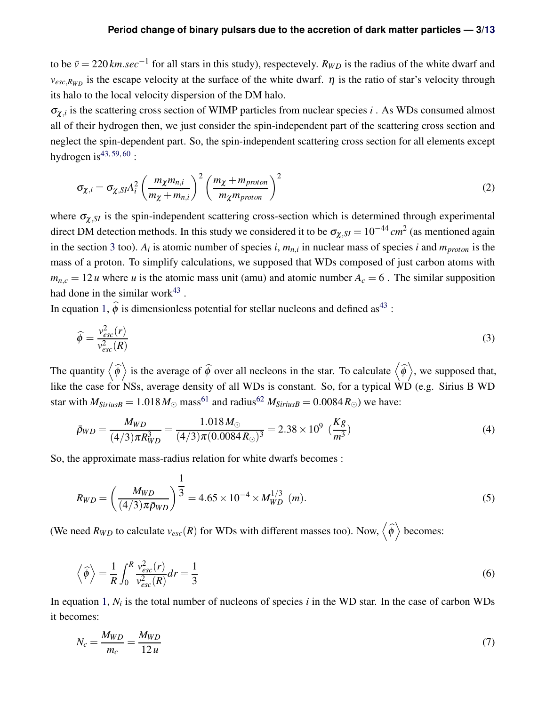#### **Period change of binary pulsars due to the accretion of dark matter particles — 3[/13](#page-12-0)**

to be  $\bar{v} = 220$  *km.sec*<sup>−1</sup> for all stars in this study), respectevely.  $R_{WD}$  is the radius of the white dwarf and  $v_{esc,R_{WD}}$  is the escape velocity at the surface of the white dwarf.  $\eta$  is the ratio of star's velocity through its halo to the local velocity dispersion of the DM halo.

 $\sigma_{\chi,i}$  is the scattering cross section of WIMP particles from nuclear species *i*. As WDs consumed almost all of their hydrogen then, we just consider the spin-independent part of the scattering cross section and neglect the spin-dependent part. So, the spin-independent scattering cross section for all elements except hydrogen is  $43, 59, 60$  $43, 59, 60$  $43, 59, 60$  $43, 59, 60$  $43, 59, 60$ :

$$
\sigma_{\chi,i} = \sigma_{\chi,SI} A_i^2 \left( \frac{m_{\chi} m_{n,i}}{m_{\chi} + m_{n,i}} \right)^2 \left( \frac{m_{\chi} + m_{proton}}{m_{\chi} m_{proton}} \right)^2
$$
\n(2)

where  $\sigma_{\chi, SI}$  is the spin-independent scattering cross-section which is determined through experimental direct DM detection methods. In this study we considered it to be  $\sigma_{\chi,SI} = 10^{-44}$  *cm*<sup>2</sup> (as mentioned again in the section [3](#page-3-0) too).  $A_i$  is atomic number of species *i*,  $m_{n,i}$  in nuclear mass of species *i* and  $m_{proton}$  is the mass of a proton. To simplify calculations, we supposed that WDs composed of just carbon atoms with  $m_{n,c} = 12 u$  where *u* is the atomic mass unit (amu) and atomic number  $A_c = 6$ . The similar supposition had done in the similar work $43$ .

In equation [1,](#page-1-2)  $\hat{\phi}$  is dimensionless potential for stellar nucleons and defined as<sup>[43](#page-9-4)</sup> :

$$
\widehat{\phi} = \frac{v_{esc}^2(r)}{v_{esc}^2(R)}\tag{3}
$$

The quantity  $\langle \hat{\phi} \rangle$  is the average of  $\hat{\phi}$  over all necleons in the star. To calculate  $\langle \hat{\phi} \rangle$ , we supposed that, like the case for NSs, average density of all WDs is constant. So, for a typical WD (e.g. Sirius B WD star with  $M_{SiriusB} = 1.018 M_{\odot}$  mass<sup>[61](#page-11-1)</sup> and radius<sup>[62](#page-11-2)</sup>  $M_{SiriusB} = 0.0084 R_{\odot}$ ) we have:

$$
\bar{\rho}_{WD} = \frac{M_{WD}}{(4/3)\pi R_{WD}^3} = \frac{1.018 M_{\odot}}{(4/3)\pi (0.0084 R_{\odot})^3} = 2.38 \times 10^9 \ (\frac{Kg}{m^3})
$$
(4)

So, the approximate mass-radius relation for white dwarfs becomes :

$$
R_{WD} = \left(\frac{M_{WD}}{(4/3)\pi\bar{\rho}_{WD}}\right)^{\frac{1}{3}} = 4.65 \times 10^{-4} \times M_{WD}^{1/3} \ (m). \tag{5}
$$

(We need  $R_{WD}$  to calculate  $v_{esc}(R)$  for WDs with different masses too). Now,  $\left\langle \widehat{\phi}\right\rangle$  becomes:

$$
\left\langle \widehat{\phi} \right\rangle = \frac{1}{R} \int_0^R \frac{v_{esc}^2(r)}{v_{esc}^2(R)} dr = \frac{1}{3}
$$
 (6)

In equation [1,](#page-1-2)  $N_i$  is the total number of nucleons of species  $i$  in the WD star. In the case of carbon WDs it becomes:

$$
N_c = \frac{M_{WD}}{m_c} = \frac{M_{WD}}{12u} \tag{7}
$$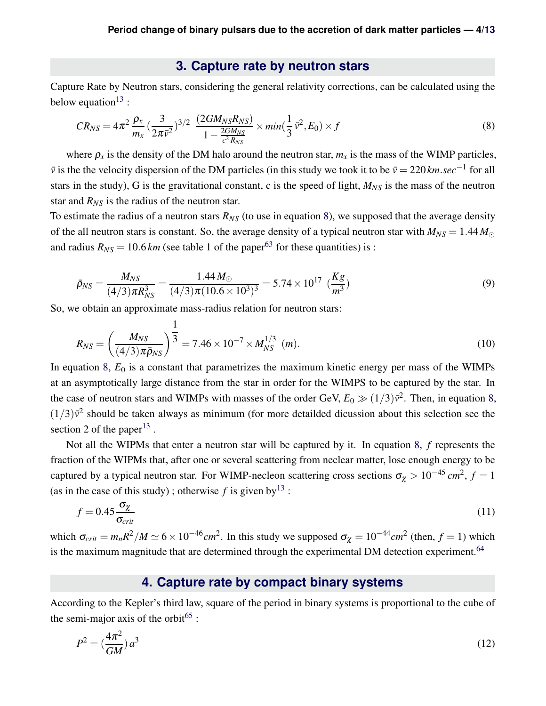### <span id="page-3-2"></span>**3. Capture rate by neutron stars**

<span id="page-3-0"></span>Capture Rate by Neutron stars, considering the general relativity corrections, can be calculated using the below equation<sup>[13](#page-7-2)</sup>:

$$
CR_{NS} = 4\pi^2 \frac{\rho_x}{m_x} \left(\frac{3}{2\pi \bar{v}^2}\right)^{3/2} \frac{(2GM_{NS}R_{NS})}{1 - \frac{2GM_{NS}}{c^2 R_{NS}}} \times min\left(\frac{1}{3}\bar{v}^2, E_0\right) \times f
$$
(8)

where  $\rho_x$  is the density of the DM halo around the neutron star,  $m_x$  is the mass of the WIMP particles,  $\bar{v}$  is the the velocity dispersion of the DM particles (in this study we took it to be  $\bar{v} = 220$ *km.sec*<sup>−1</sup> for all stars in the study), G is the gravitational constant, c is the speed of light,  $M_{NS}$  is the mass of the neutron star and  $R_{NS}$  is the radius of the neutron star.

To estimate the radius of a neutron stars  $R_{NS}$  (to use in equation [8\)](#page-3-2), we supposed that the average density of the all neutron stars is constant. So, the average density of a typical neutron star with  $M_{NS} = 1.44 M_{\odot}$ and radius  $R_{NS} = 10.6 \, \text{km}$  (see table 1 of the paper<sup>[63](#page-11-3)</sup> for these quantities) is :

$$
\bar{p}_{NS} = \frac{M_{NS}}{(4/3)\pi R_{NS}^3} = \frac{1.44 M_{\odot}}{(4/3)\pi (10.6 \times 10^3)^3} = 5.74 \times 10^{17} \, \left(\frac{Kg}{m^3}\right) \tag{9}
$$

So, we obtain an approximate mass-radius relation for neutron stars:

$$
R_{NS} = \left(\frac{M_{NS}}{(4/3)\pi\bar{\rho}_{NS}}\right)^{\frac{1}{3}} = 7.46 \times 10^{-7} \times M_{NS}^{1/3} \ (m). \tag{10}
$$

In equation [8,](#page-3-2)  $E_0$  is a constant that parametrizes the maximum kinetic energy per mass of the WIMPs at an asymptotically large distance from the star in order for the WIMPS to be captured by the star. In the case of neutron stars and WIMPs with masses of the order GeV,  $E_0 \gg (1/3)\bar{v}^2$ . Then, in equation [8,](#page-3-2)  $(1/3)\bar{v}^2$  should be taken always as minimum (for more detailded dicussion about this selection see the section 2 of the paper<sup>[13](#page-7-2)</sup>.

Not all the WIPMs that enter a neutron star will be captured by it. In equation [8,](#page-3-2) *f* represents the fraction of the WIPMs that, after one or several scattering from neclear matter, lose enough energy to be captured by a typical neutron star. For WIMP-necleon scattering cross sections  $\sigma_{\chi} > 10^{-45}$  *cm*<sup>2</sup>,  $f = 1$ (as in the case of this study); otherwise f is given by  $13$ :

$$
f = 0.45 \frac{\sigma_{\chi}}{\sigma_{crit}} \tag{11}
$$

<span id="page-3-1"></span>which  $\sigma_{crit} = m_n R^2 / M \simeq 6 \times 10^{-46} cm^2$ . In this study we supposed  $\sigma_{\chi} = 10^{-44} cm^2$  (then,  $f = 1$ ) which is the maximum magnitude that are determined through the experimental DM detection experiment.<sup>[64](#page-11-4)</sup>

### <span id="page-3-3"></span>**4. Capture rate by compact binary systems**

According to the Kepler's third law, square of the period in binary systems is proportional to the cube of the semi-major axis of the orbit<sup>[65](#page-11-5)</sup>:

$$
P^2 = \left(\frac{4\pi^2}{GM}\right)a^3\tag{12}
$$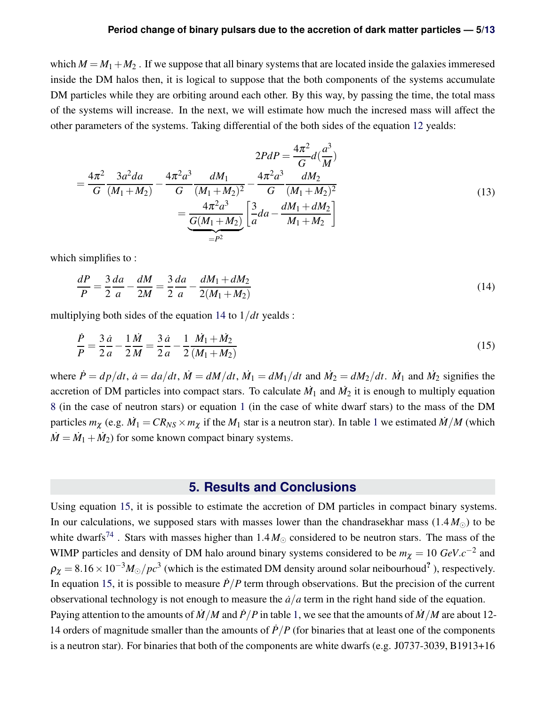#### **Period change of binary pulsars due to the accretion of dark matter particles — 5[/13](#page-12-0)**

which  $M = M_1 + M_2$ . If we suppose that all binary systems that are located inside the galaxies immeresed inside the DM halos then, it is logical to suppose that the both components of the systems accumulate DM particles while they are orbiting around each other. By this way, by passing the time, the total mass of the systems will increase. In the next, we will estimate how much the incresed mass will affect the other parameters of the systems. Taking differential of the both sides of the equation [12](#page-3-3) yealds:

$$
2PdP = \frac{4\pi^2}{G}d(\frac{a^3}{M})
$$
  
=  $\frac{4\pi^2}{G}\frac{3a^2da}{(M_1+M_2)} - \frac{4\pi^2a^3}{G}\frac{dM_1}{(M_1+M_2)^2} - \frac{4\pi^2a^3}{G}\frac{dM_2}{(M_1+M_2)^2}$   
=  $\frac{4\pi^2a^3}{\frac{G(M_1+M_2)}{P^2}}\left[\frac{3}{a}da - \frac{dM_1+dM_2}{M_1+M_2}\right]$  (13)

which simplifies to :

<span id="page-4-1"></span>
$$
\frac{dP}{P} = \frac{3}{2}\frac{da}{a} - \frac{dM}{2M} = \frac{3}{2}\frac{da}{a} - \frac{dM_1 + dM_2}{2(M_1 + M_2)}
$$
(14)

multiplying both sides of the equation [14](#page-4-1) to 1/*dt* yealds :

$$
\frac{\dot{P}}{P} = \frac{3}{2}\frac{\dot{a}}{a} - \frac{1}{2}\frac{\dot{M}}{M} = \frac{3}{2}\frac{\dot{a}}{a} - \frac{1}{2}\frac{\dot{M}_1 + \dot{M}_2}{(M_1 + M_2)}
$$
(15)

where  $\dot{P} = dp/dt$ ,  $\dot{a} = da/dt$ ,  $\dot{M} = dM/dt$ ,  $\dot{M}_1 = dM_1/dt$  and  $\dot{M}_2 = dM_2/dt$ .  $\dot{M}_1$  and  $\dot{M}_2$  signifies the accretion of DM particles into compact stars. To calculate  $\dot{M}_1$  and  $\dot{M}_2$  it is enough to multiply equation [8](#page-3-2) (in the case of neutron stars) or equation [1](#page-1-2) (in the case of white dwarf stars) to the mass of the DM particles  $m_\chi$  (e.g.  $\dot{M}_1 = CR_{NS} \times m_\chi$  $\dot{M}_1 = CR_{NS} \times m_\chi$  $\dot{M}_1 = CR_{NS} \times m_\chi$  if the  $M_1$  star is a neutron star). In table 1 we estimated  $\dot{M}/M$  (which  $\dot{M} = \dot{M}_1 + \dot{M}_2$ ) for some known compact binary systems.

### <span id="page-4-2"></span>**5. Results and Conclusions**

<span id="page-4-0"></span>Using equation [15,](#page-4-2) it is possible to estimate the accretion of DM particles in compact binary systems. In our calculations, we supposed stars with masses lower than the chandrasekhar mass  $(1.4 M_{\odot})$  to be white dwarfs<sup>[74](#page-12-1)</sup>. Stars with masses higher than  $1.4 M_{\odot}$  considered to be neutron stars. The mass of the WIMP particles and density of DM halo around binary systems considered to be  $m_{\chi} = 10 \text{ GeV}.c^{-2}$  and  $\rho_{\chi} = 8.16 \times 10^{-3} M_{\odot}/pc^{3}$  (which is the estimated DM density around solar neibourhoud<sup>?</sup>), respectively. In equation [15,](#page-4-2) it is possible to measure  $\dot{P}/P$  term through observations. But the precision of the current observational technology is not enough to measure the  $\dot{a}/a$  term in the right hand side of the equation. Paying attention to the amounts of  $\dot{M}/M$  and  $\dot{P}/P$  in table [1,](#page-5-0) we see that the amounts of  $\dot{M}/M$  are about 12-14 orders of magnitude smaller than the amounts of  $\dot{P}/P$  (for binaries that at least one of the components is a neutron star). For binaries that both of the components are white dwarfs (e.g. J0737-3039, B1913+16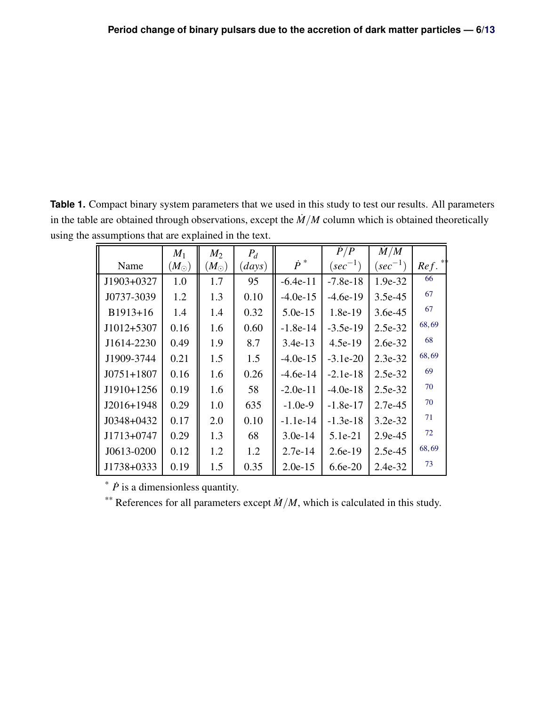<span id="page-5-0"></span>**Table 1.** Compact binary system parameters that we used in this study to test our results. All parameters in the table are obtained through observations, except the  $\dot{M}/M$  column which is obtained theoretically using the assumptions that are explained in the text.

|                | $M_1$         | $M_2$       | $P_d$  |             | $\dot{P}/P$  | $\dot{M}/M$  |                      |  |  |  |
|----------------|---------------|-------------|--------|-------------|--------------|--------------|----------------------|--|--|--|
| Name           | $(M_{\odot})$ | $(M_\odot)$ | (days) | $\dot{P}^*$ | $(sec^{-1})$ | $(sec^{-1})$ | $Ref.$ <sup>**</sup> |  |  |  |
| J1903+0327     | 1.0           | 1.7         | 95     | $-6.4e-11$  | $-7.8e-18$   | 1.9e-32      | 66                   |  |  |  |
| J0737-3039     | 1.2           | 1.3         | 0.10   | $-4.0e-15$  | $-4.6e-19$   | 3.5e-45      | 67                   |  |  |  |
| $B1913+16$     | 1.4           | 1.4         | 0.32   | $5.0e-15$   | $1.8e-19$    | 3.6e-45      | 67                   |  |  |  |
| J1012+5307     | 0.16          | 1.6         | 0.60   | $-1.8e-14$  | $-3.5e-19$   | 2.5e-32      | 68,69                |  |  |  |
| J1614-2230     | 0.49          | 1.9         | 8.7    | $3.4e-13$   | $4.5e-19$    | 2.6e-32      | 68                   |  |  |  |
| J1909-3744     | 0.21          | 1.5         | 1.5    | $-4.0e-15$  | $-3.1e-20$   | 2.3e-32      | 68,69                |  |  |  |
| $J0751 + 1807$ | 0.16          | 1.6         | 0.26   | $-4.6e-14$  | $-2.1e-18$   | 2.5e-32      | 69                   |  |  |  |
| J1910+1256     | 0.19          | 1.6         | 58     | $-2.0e-11$  | $-4.0e-18$   | 2.5e-32      | 70                   |  |  |  |
| $J2016+1948$   | 0.29          | 1.0         | 635    | $-1.0e-9$   | $-1.8e-17$   | 2.7e-45      | 70                   |  |  |  |
| $J0348+0432$   | 0.17          | 2.0         | 0.10   | $-1.1e-14$  | $-1.3e-18$   | $3.2e-32$    | 71                   |  |  |  |
| J1713+0747     | 0.29          | 1.3         | 68     | $3.0e-14$   | $5.1e-21$    | 2.9e-45      | 72                   |  |  |  |
| J0613-0200     | 0.12          | 1.2         | 1.2    | $2.7e-14$   | $2.6e-19$    | 2.5e-45      | 68,69                |  |  |  |
| J1738+0333     | 0.19          | 1.5         | 0.35   | $2.0e-15$   | $6.6e-20$    | 2.4e-32      | 73                   |  |  |  |
|                |               |             |        |             |              |              |                      |  |  |  |

 $*$   $\dot{P}$  is a dimensionless quantity.

\*\* References for all parameters except  $\dot{M}/M$ , which is calculated in this study.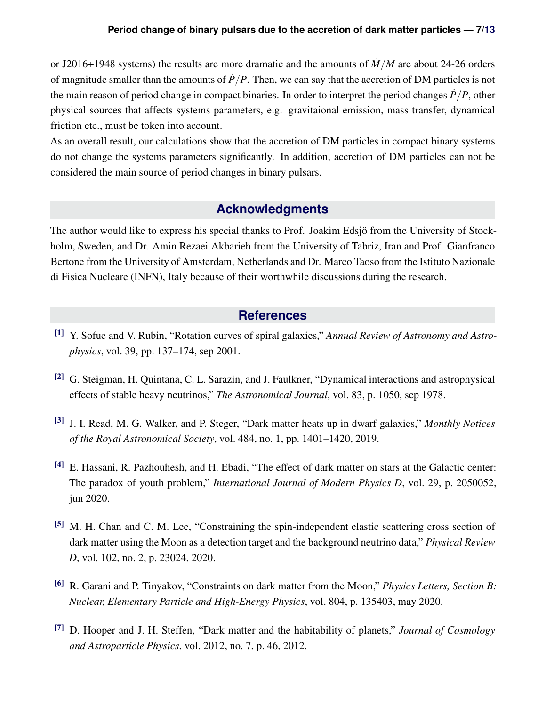or J2016+1948 systems) the results are more dramatic and the amounts of  $\dot{M}/M$  are about 24-26 orders of magnitude smaller than the amounts of  $\dot{P}/P$ . Then, we can say that the accretion of DM particles is not the main reason of period change in compact binaries. In order to interpret the period changes  $\dot{P}/P$ , other physical sources that affects systems parameters, e.g. gravitaional emission, mass transfer, dynamical friction etc., must be token into account.

<span id="page-6-0"></span>As an overall result, our calculations show that the accretion of DM particles in compact binary systems do not change the systems parameters significantly. In addition, accretion of DM particles can not be considered the main source of period changes in binary pulsars.

### **Acknowledgments**

The author would like to express his special thanks to Prof. Joakim Edsjö from the University of Stockholm, Sweden, and Dr. Amin Rezaei Akbarieh from the University of Tabriz, Iran and Prof. Gianfranco Bertone from the University of Amsterdam, Netherlands and Dr. Marco Taoso from the Istituto Nazionale di Fisica Nucleare (INFN), Italy because of their worthwhile discussions during the research.

### <span id="page-6-1"></span>**References**

- <span id="page-6-3"></span><span id="page-6-2"></span>[1] Y. Sofue and V. Rubin, "Rotation curves of spiral galaxies," *Annual Review of Astronomy and Astrophysics*, vol. 39, pp. 137–174, sep 2001.
- <span id="page-6-4"></span>[2] G. Steigman, H. Quintana, C. L. Sarazin, and J. Faulkner, "Dynamical interactions and astrophysical effects of stable heavy neutrinos," *The Astronomical Journal*, vol. 83, p. 1050, sep 1978.
- <span id="page-6-5"></span>[3] J. I. Read, M. G. Walker, and P. Steger, "Dark matter heats up in dwarf galaxies," *Monthly Notices of the Royal Astronomical Society*, vol. 484, no. 1, pp. 1401–1420, 2019.
- [4] E. Hassani, R. Pazhouhesh, and H. Ebadi, "The effect of dark matter on stars at the Galactic center: The paradox of youth problem," *International Journal of Modern Physics D*, vol. 29, p. 2050052, jun 2020.
- <span id="page-6-6"></span>[5] M. H. Chan and C. M. Lee, "Constraining the spin-independent elastic scattering cross section of dark matter using the Moon as a detection target and the background neutrino data," *Physical Review D*, vol. 102, no. 2, p. 23024, 2020.
- <span id="page-6-7"></span>[6] R. Garani and P. Tinyakov, "Constraints on dark matter from the Moon," *Physics Letters, Section B: Nuclear, Elementary Particle and High-Energy Physics*, vol. 804, p. 135403, may 2020.
- <span id="page-6-8"></span>[7] D. Hooper and J. H. Steffen, "Dark matter and the habitability of planets," *Journal of Cosmology and Astroparticle Physics*, vol. 2012, no. 7, p. 46, 2012.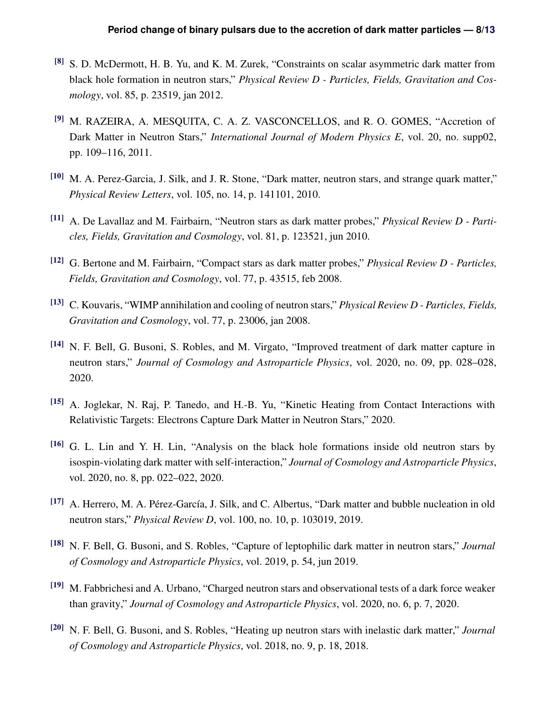- <span id="page-7-0"></span>[8] S. D. McDermott, H. B. Yu, and K. M. Zurek, "Constraints on scalar asymmetric dark matter from black hole formation in neutron stars," *Physical Review D - Particles, Fields, Gravitation and Cosmology*, vol. 85, p. 23519, jan 2012.
- [9] M. RAZEIRA, A. MESQUITA, C. A. Z. VASCONCELLOS, and R. O. GOMES, "Accretion of Dark Matter in Neutron Stars," *International Journal of Modern Physics E*, vol. 20, no. supp02, pp. 109–116, 2011.
- [10] M. A. Perez-Garcia, J. Silk, and J. R. Stone, "Dark matter, neutron stars, and strange quark matter," *Physical Review Letters*, vol. 105, no. 14, p. 141101, 2010.
- [11] A. De Lavallaz and M. Fairbairn, "Neutron stars as dark matter probes," *Physical Review D Particles, Fields, Gravitation and Cosmology*, vol. 81, p. 123521, jun 2010.
- <span id="page-7-2"></span>[12] G. Bertone and M. Fairbairn, "Compact stars as dark matter probes," *Physical Review D - Particles, Fields, Gravitation and Cosmology*, vol. 77, p. 43515, feb 2008.
- [13] C. Kouvaris, "WIMP annihilation and cooling of neutron stars," *Physical Review D Particles, Fields, Gravitation and Cosmology*, vol. 77, p. 23006, jan 2008.
- [14] N. F. Bell, G. Busoni, S. Robles, and M. Virgato, "Improved treatment of dark matter capture in neutron stars," *Journal of Cosmology and Astroparticle Physics*, vol. 2020, no. 09, pp. 028–028, 2020.
- <span id="page-7-1"></span>[15] A. Joglekar, N. Raj, P. Tanedo, and H.-B. Yu, "Kinetic Heating from Contact Interactions with Relativistic Targets: Electrons Capture Dark Matter in Neutron Stars," 2020.
- [16] G. L. Lin and Y. H. Lin, "Analysis on the black hole formations inside old neutron stars by isospin-violating dark matter with self-interaction," *Journal of Cosmology and Astroparticle Physics*, vol. 2020, no. 8, pp. 022–022, 2020.
- [17] A. Herrero, M. A. Pérez-García, J. Silk, and C. Albertus, "Dark matter and bubble nucleation in old neutron stars," *Physical Review D*, vol. 100, no. 10, p. 103019, 2019.
- [18] N. F. Bell, G. Busoni, and S. Robles, "Capture of leptophilic dark matter in neutron stars," *Journal of Cosmology and Astroparticle Physics*, vol. 2019, p. 54, jun 2019.
- [19] M. Fabbrichesi and A. Urbano, "Charged neutron stars and observational tests of a dark force weaker than gravity," *Journal of Cosmology and Astroparticle Physics*, vol. 2020, no. 6, p. 7, 2020.
- [20] N. F. Bell, G. Busoni, and S. Robles, "Heating up neutron stars with inelastic dark matter," *Journal of Cosmology and Astroparticle Physics*, vol. 2018, no. 9, p. 18, 2018.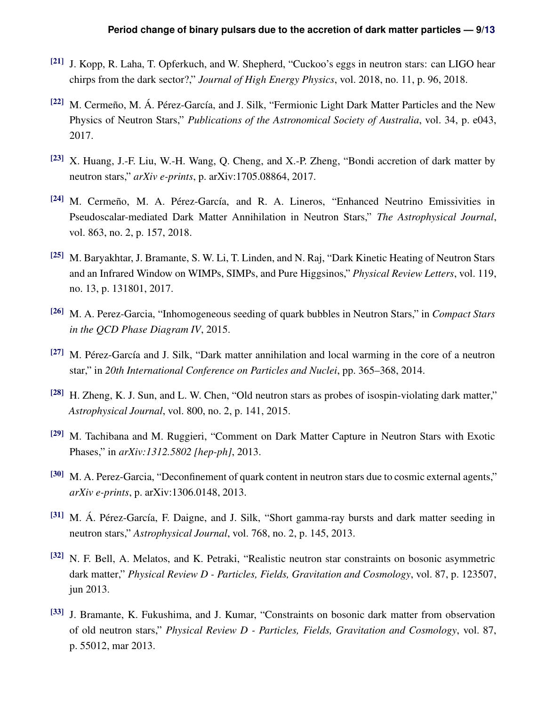- [21] J. Kopp, R. Laha, T. Opferkuch, and W. Shepherd, "Cuckoo's eggs in neutron stars: can LIGO hear chirps from the dark sector?," *Journal of High Energy Physics*, vol. 2018, no. 11, p. 96, 2018.
- [22] M. Cermeño, M. Á. Pérez-García, and J. Silk, "Fermionic Light Dark Matter Particles and the New Physics of Neutron Stars," *Publications of the Astronomical Society of Australia*, vol. 34, p. e043, 2017.
- [23] X. Huang, J.-F. Liu, W.-H. Wang, Q. Cheng, and X.-P. Zheng, "Bondi accretion of dark matter by neutron stars," *arXiv e-prints*, p. arXiv:1705.08864, 2017.
- [24] M. Cermeño, M. A. Pérez-García, and R. A. Lineros, "Enhanced Neutrino Emissivities in Pseudoscalar-mediated Dark Matter Annihilation in Neutron Stars," *The Astrophysical Journal*, vol. 863, no. 2, p. 157, 2018.
- [25] M. Baryakhtar, J. Bramante, S. W. Li, T. Linden, and N. Raj, "Dark Kinetic Heating of Neutron Stars and an Infrared Window on WIMPs, SIMPs, and Pure Higgsinos," *Physical Review Letters*, vol. 119, no. 13, p. 131801, 2017.
- [26] M. A. Perez-Garcia, "Inhomogeneous seeding of quark bubbles in Neutron Stars," in *Compact Stars in the QCD Phase Diagram IV*, 2015.
- [27] M. Pérez-García and J. Silk, "Dark matter annihilation and local warming in the core of a neutron star," in *20th International Conference on Particles and Nuclei*, pp. 365–368, 2014.
- [28] H. Zheng, K. J. Sun, and L. W. Chen, "Old neutron stars as probes of isospin-violating dark matter," *Astrophysical Journal*, vol. 800, no. 2, p. 141, 2015.
- [29] M. Tachibana and M. Ruggieri, "Comment on Dark Matter Capture in Neutron Stars with Exotic Phases," in *arXiv:1312.5802 [hep-ph]*, 2013.
- [30] M. A. Perez-Garcia, "Deconfinement of quark content in neutron stars due to cosmic external agents," *arXiv e-prints*, p. arXiv:1306.0148, 2013.
- [31] M. Á. Pérez-García, F. Daigne, and J. Silk, "Short gamma-ray bursts and dark matter seeding in neutron stars," *Astrophysical Journal*, vol. 768, no. 2, p. 145, 2013.
- [32] N. F. Bell, A. Melatos, and K. Petraki, "Realistic neutron star constraints on bosonic asymmetric dark matter," *Physical Review D - Particles, Fields, Gravitation and Cosmology*, vol. 87, p. 123507, jun 2013.
- [33] J. Bramante, K. Fukushima, and J. Kumar, "Constraints on bosonic dark matter from observation of old neutron stars," *Physical Review D - Particles, Fields, Gravitation and Cosmology*, vol. 87, p. 55012, mar 2013.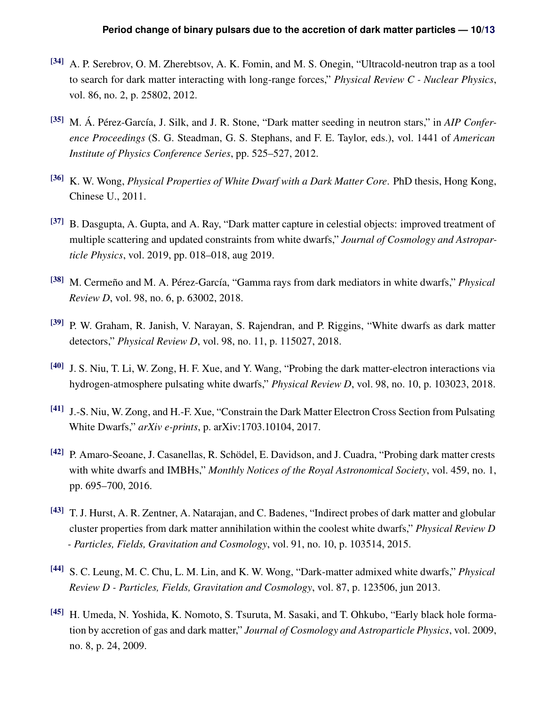- [34] A. P. Serebrov, O. M. Zherebtsov, A. K. Fomin, and M. S. Onegin, "Ultracold-neutron trap as a tool to search for dark matter interacting with long-range forces," *Physical Review C - Nuclear Physics*, vol. 86, no. 2, p. 25802, 2012.
- <span id="page-9-0"></span>[35] M. Á. Pérez-García, J. Silk, and J. R. Stone, "Dark matter seeding in neutron stars," in *AIP Conference Proceedings* (S. G. Steadman, G. S. Stephans, and F. E. Taylor, eds.), vol. 1441 of *American Institute of Physics Conference Series*, pp. 525–527, 2012.
- <span id="page-9-1"></span>[36] K. W. Wong, *Physical Properties of White Dwarf with a Dark Matter Core*. PhD thesis, Hong Kong, Chinese U., 2011.
- [37] B. Dasgupta, A. Gupta, and A. Ray, "Dark matter capture in celestial objects: improved treatment of multiple scattering and updated constraints from white dwarfs," *Journal of Cosmology and Astroparticle Physics*, vol. 2019, pp. 018–018, aug 2019.
- [38] M. Cermeño and M. A. Pérez-García, "Gamma rays from dark mediators in white dwarfs," *Physical Review D*, vol. 98, no. 6, p. 63002, 2018.
- [39] P. W. Graham, R. Janish, V. Narayan, S. Rajendran, and P. Riggins, "White dwarfs as dark matter detectors," *Physical Review D*, vol. 98, no. 11, p. 115027, 2018.
- [40] J. S. Niu, T. Li, W. Zong, H. F. Xue, and Y. Wang, "Probing the dark matter-electron interactions via hydrogen-atmosphere pulsating white dwarfs," *Physical Review D*, vol. 98, no. 10, p. 103023, 2018.
- [41] J.-S. Niu, W. Zong, and H.-F. Xue, "Constrain the Dark Matter Electron Cross Section from Pulsating White Dwarfs," *arXiv e-prints*, p. arXiv:1703.10104, 2017.
- [42] P. Amaro-Seoane, J. Casanellas, R. Schödel, E. Davidson, and J. Cuadra, "Probing dark matter crests with white dwarfs and IMBHs," *Monthly Notices of the Royal Astronomical Society*, vol. 459, no. 1, pp. 695–700, 2016.
- <span id="page-9-4"></span>[43] T. J. Hurst, A. R. Zentner, A. Natarajan, and C. Badenes, "Indirect probes of dark matter and globular cluster properties from dark matter annihilation within the coolest white dwarfs," *Physical Review D - Particles, Fields, Gravitation and Cosmology*, vol. 91, no. 10, p. 103514, 2015.
- <span id="page-9-2"></span>[44] S. C. Leung, M. C. Chu, L. M. Lin, and K. W. Wong, "Dark-matter admixed white dwarfs," *Physical Review D - Particles, Fields, Gravitation and Cosmology*, vol. 87, p. 123506, jun 2013.
- <span id="page-9-3"></span>[45] H. Umeda, N. Yoshida, K. Nomoto, S. Tsuruta, M. Sasaki, and T. Ohkubo, "Early black hole formation by accretion of gas and dark matter," *Journal of Cosmology and Astroparticle Physics*, vol. 2009, no. 8, p. 24, 2009.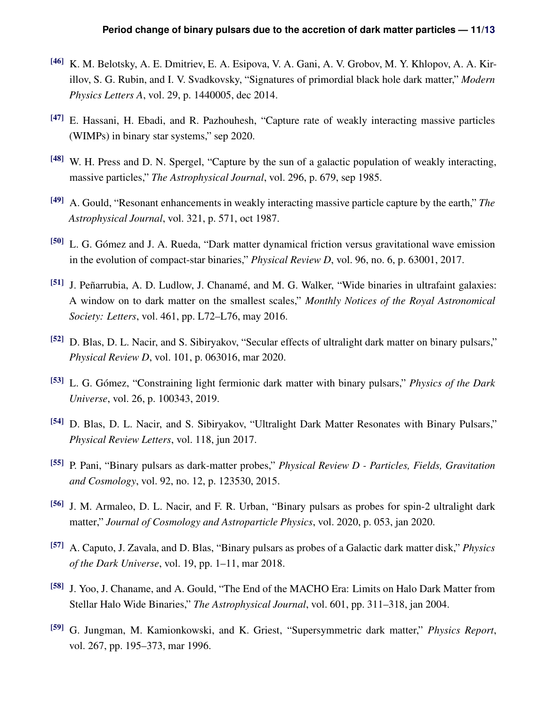- <span id="page-10-0"></span>[46] K. M. Belotsky, A. E. Dmitriev, E. A. Esipova, V. A. Gani, A. V. Grobov, M. Y. Khlopov, A. A. Kirillov, S. G. Rubin, and I. V. Svadkovsky, "Signatures of primordial black hole dark matter," *Modern Physics Letters A*, vol. 29, p. 1440005, dec 2014.
- <span id="page-10-2"></span><span id="page-10-1"></span>[47] E. Hassani, H. Ebadi, and R. Pazhouhesh, "Capture rate of weakly interacting massive particles (WIMPs) in binary star systems," sep 2020.
- <span id="page-10-3"></span>[48] W. H. Press and D. N. Spergel, "Capture by the sun of a galactic population of weakly interacting, massive particles," *The Astrophysical Journal*, vol. 296, p. 679, sep 1985.
- <span id="page-10-4"></span>[49] A. Gould, "Resonant enhancements in weakly interacting massive particle capture by the earth," *The Astrophysical Journal*, vol. 321, p. 571, oct 1987.
- [50] L. G. Gómez and J. A. Rueda, "Dark matter dynamical friction versus gravitational wave emission in the evolution of compact-star binaries," *Physical Review D*, vol. 96, no. 6, p. 63001, 2017.
- [51] J. Peñarrubia, A. D. Ludlow, J. Chanamé, and M. G. Walker, "Wide binaries in ultrafaint galaxies: A window on to dark matter on the smallest scales," *Monthly Notices of the Royal Astronomical Society: Letters*, vol. 461, pp. L72–L76, may 2016.
- [52] D. Blas, D. L. Nacir, and S. Sibiryakov, "Secular effects of ultralight dark matter on binary pulsars," *Physical Review D*, vol. 101, p. 063016, mar 2020.
- [53] L. G. Gómez, "Constraining light fermionic dark matter with binary pulsars," *Physics of the Dark Universe*, vol. 26, p. 100343, 2019.
- [54] D. Blas, D. L. Nacir, and S. Sibiryakov, "Ultralight Dark Matter Resonates with Binary Pulsars," *Physical Review Letters*, vol. 118, jun 2017.
- [55] P. Pani, "Binary pulsars as dark-matter probes," *Physical Review D Particles, Fields, Gravitation and Cosmology*, vol. 92, no. 12, p. 123530, 2015.
- [56] J. M. Armaleo, D. L. Nacir, and F. R. Urban, "Binary pulsars as probes for spin-2 ultralight dark matter," *Journal of Cosmology and Astroparticle Physics*, vol. 2020, p. 053, jan 2020.
- [57] A. Caputo, J. Zavala, and D. Blas, "Binary pulsars as probes of a Galactic dark matter disk," *Physics of the Dark Universe*, vol. 19, pp. 1–11, mar 2018.
- <span id="page-10-5"></span>[58] J. Yoo, J. Chaname, and A. Gould, "The End of the MACHO Era: Limits on Halo Dark Matter from Stellar Halo Wide Binaries," *The Astrophysical Journal*, vol. 601, pp. 311–318, jan 2004.
- <span id="page-10-6"></span>[59] G. Jungman, M. Kamionkowski, and K. Griest, "Supersymmetric dark matter," *Physics Report*, vol. 267, pp. 195–373, mar 1996.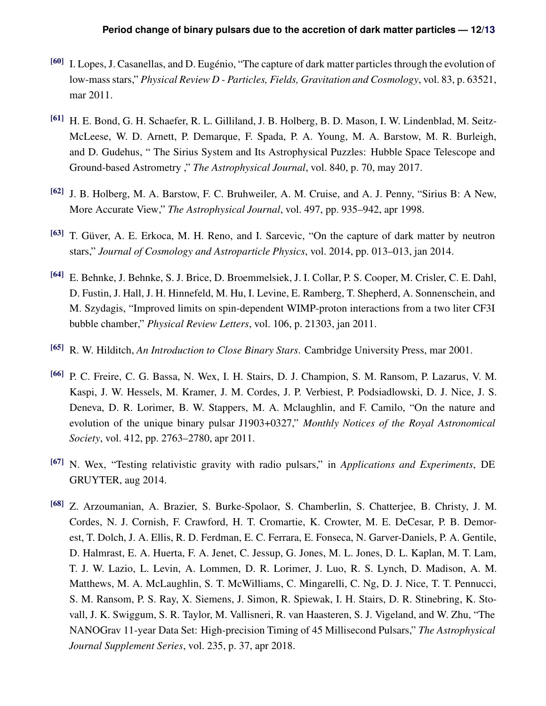- <span id="page-11-0"></span>[60] I. Lopes, J. Casanellas, and D. Eugénio, "The capture of dark matter particles through the evolution of low-mass stars," *Physical Review D - Particles, Fields, Gravitation and Cosmology*, vol. 83, p. 63521, mar 2011.
- <span id="page-11-1"></span>[61] H. E. Bond, G. H. Schaefer, R. L. Gilliland, J. B. Holberg, B. D. Mason, I. W. Lindenblad, M. Seitz-McLeese, W. D. Arnett, P. Demarque, F. Spada, P. A. Young, M. A. Barstow, M. R. Burleigh, and D. Gudehus, " The Sirius System and Its Astrophysical Puzzles: Hubble Space Telescope and Ground-based Astrometry ," *The Astrophysical Journal*, vol. 840, p. 70, may 2017.
- <span id="page-11-3"></span><span id="page-11-2"></span>[62] J. B. Holberg, M. A. Barstow, F. C. Bruhweiler, A. M. Cruise, and A. J. Penny, "Sirius B: A New, More Accurate View," *The Astrophysical Journal*, vol. 497, pp. 935–942, apr 1998.
- <span id="page-11-4"></span>[63] T. Güver, A. E. Erkoca, M. H. Reno, and I. Sarcevic, "On the capture of dark matter by neutron stars," *Journal of Cosmology and Astroparticle Physics*, vol. 2014, pp. 013–013, jan 2014.
- [64] E. Behnke, J. Behnke, S. J. Brice, D. Broemmelsiek, J. I. Collar, P. S. Cooper, M. Crisler, C. E. Dahl, D. Fustin, J. Hall, J. H. Hinnefeld, M. Hu, I. Levine, E. Ramberg, T. Shepherd, A. Sonnenschein, and M. Szydagis, "Improved limits on spin-dependent WIMP-proton interactions from a two liter CF3I bubble chamber," *Physical Review Letters*, vol. 106, p. 21303, jan 2011.
- <span id="page-11-6"></span><span id="page-11-5"></span>[65] R. W. Hilditch, *An Introduction to Close Binary Stars*. Cambridge University Press, mar 2001.
- [66] P. C. Freire, C. G. Bassa, N. Wex, I. H. Stairs, D. J. Champion, S. M. Ransom, P. Lazarus, V. M. Kaspi, J. W. Hessels, M. Kramer, J. M. Cordes, J. P. Verbiest, P. Podsiadlowski, D. J. Nice, J. S. Deneva, D. R. Lorimer, B. W. Stappers, M. A. Mclaughlin, and F. Camilo, "On the nature and evolution of the unique binary pulsar J1903+0327," *Monthly Notices of the Royal Astronomical Society*, vol. 412, pp. 2763–2780, apr 2011.
- <span id="page-11-8"></span><span id="page-11-7"></span>[67] N. Wex, "Testing relativistic gravity with radio pulsars," in *Applications and Experiments*, DE GRUYTER, aug 2014.
- [68] Z. Arzoumanian, A. Brazier, S. Burke-Spolaor, S. Chamberlin, S. Chatterjee, B. Christy, J. M. Cordes, N. J. Cornish, F. Crawford, H. T. Cromartie, K. Crowter, M. E. DeCesar, P. B. Demorest, T. Dolch, J. A. Ellis, R. D. Ferdman, E. C. Ferrara, E. Fonseca, N. Garver-Daniels, P. A. Gentile, D. Halmrast, E. A. Huerta, F. A. Jenet, C. Jessup, G. Jones, M. L. Jones, D. L. Kaplan, M. T. Lam, T. J. W. Lazio, L. Levin, A. Lommen, D. R. Lorimer, J. Luo, R. S. Lynch, D. Madison, A. M. Matthews, M. A. McLaughlin, S. T. McWilliams, C. Mingarelli, C. Ng, D. J. Nice, T. T. Pennucci, S. M. Ransom, P. S. Ray, X. Siemens, J. Simon, R. Spiewak, I. H. Stairs, D. R. Stinebring, K. Stovall, J. K. Swiggum, S. R. Taylor, M. Vallisneri, R. van Haasteren, S. J. Vigeland, and W. Zhu, "The NANOGrav 11-year Data Set: High-precision Timing of 45 Millisecond Pulsars," *The Astrophysical Journal Supplement Series*, vol. 235, p. 37, apr 2018.